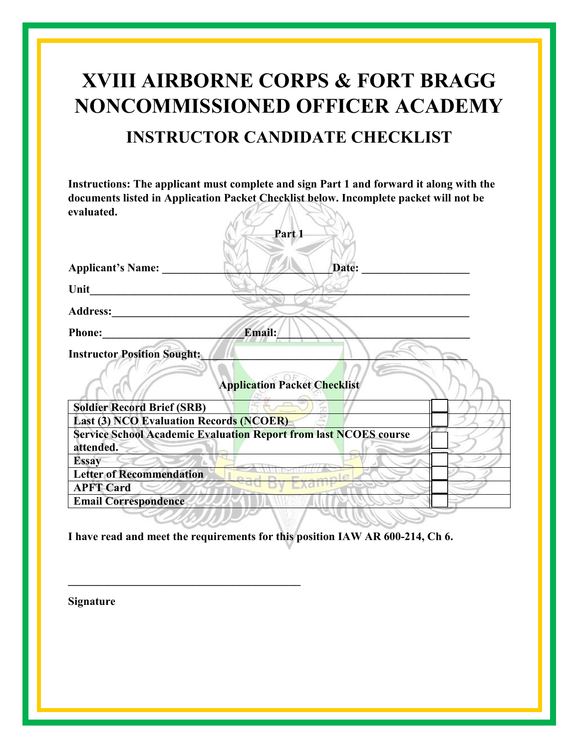## **XVIII AIRBORNE CORPS & FORT BRAGG NONCOMMISSIONED OFFICER ACADEMY INSTRUCTOR CANDIDATE CHECKLIST**

**Instructions: The applicant must complete and sign Part 1 and forward it along with the documents listed in Application Packet Checklist below. Incomplete packet will not be evaluated.**  SV.

| Part 1                                                                               |  |
|--------------------------------------------------------------------------------------|--|
| <b>Applicant's Name:</b><br>Date:                                                    |  |
| Unit                                                                                 |  |
| <b>Address:</b>                                                                      |  |
| <b>Email:</b><br><b>Phone:</b>                                                       |  |
| <b>Instructor Position Sought:</b><br><b>Application Packet Checklist</b>            |  |
| <b>Soldier Record Brief (SRB)</b>                                                    |  |
| <b>Last (3) NCO Evaluation Records (NCOER)</b>                                       |  |
| <b>Service School Academic Evaluation Report from last NCOES course</b><br>attended. |  |
| <b>Essay</b>                                                                         |  |
| <b>Letter of Recommendation</b>                                                      |  |
| <b>APFT Card</b>                                                                     |  |
| <b>Email Correspondence</b>                                                          |  |

**I have read and meet the requirements for this position IAW AR 600-214, Ch 6.** 

**\_\_\_\_\_\_\_\_\_\_\_\_\_\_\_\_\_\_\_\_\_\_\_\_\_\_\_\_\_\_\_\_\_\_\_\_\_\_\_\_\_** 

**Signature**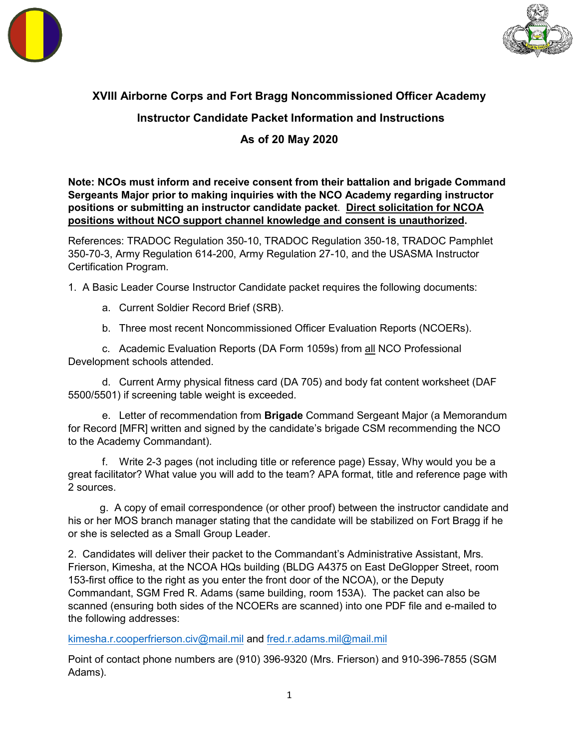



## **XVIII Airborne Corps and Fort Bragg Noncommissioned Officer Academy**

## **Instructor Candidate Packet Information and Instructions**

## **As of 20 May 2020**

**Note: NCOs must inform and receive consent from their battalion and brigade Command Sergeants Major prior to making inquiries with the NCO Academy regarding instructor positions or submitting an instructor candidate packet**. **Direct solicitation for NCOA positions without NCO support channel knowledge and consent is unauthorized.**

References: TRADOC Regulation 350-10, TRADOC Regulation 350-18, TRADOC Pamphlet 350-70-3, Army Regulation 614-200, Army Regulation 27-10, and the USASMA Instructor Certification Program.

1. A Basic Leader Course Instructor Candidate packet requires the following documents:

a. Current Soldier Record Brief (SRB).

b. Three most recent Noncommissioned Officer Evaluation Reports (NCOERs).

c. Academic Evaluation Reports (DA Form 1059s) from all NCO Professional Development schools attended.

d. Current Army physical fitness card (DA 705) and body fat content worksheet (DAF 5500/5501) if screening table weight is exceeded.

e. Letter of recommendation from **Brigade** Command Sergeant Major (a Memorandum for Record [MFR] written and signed by the candidate's brigade CSM recommending the NCO to the Academy Commandant).

f. Write 2-3 pages (not including title or reference page) Essay, Why would you be a great facilitator? What value you will add to the team? APA format, title and reference page with 2 sources.

g. A copy of email correspondence (or other proof) between the instructor candidate and his or her MOS branch manager stating that the candidate will be stabilized on Fort Bragg if he or she is selected as a Small Group Leader.

2. Candidates will deliver their packet to the Commandant's Administrative Assistant, Mrs. Frierson, Kimesha, at the NCOA HQs building (BLDG A4375 on East DeGlopper Street, room 153-first office to the right as you enter the front door of the NCOA), or the Deputy Commandant, SGM Fred R. Adams (same building, room 153A). The packet can also be scanned (ensuring both sides of the NCOERs are scanned) into one PDF file and e-mailed to the following addresses:

k[imesha.r.cooperfrierson.civ@mail.mil](mailto:Kimesha.r.cooperfrierson.civ@mail.mil) and fred.r.adams.mil@mail.mil

Point of contact phone numbers are (910) 396-9320 (Mrs. Frierson) and 910-396-7855 (SGM Adams).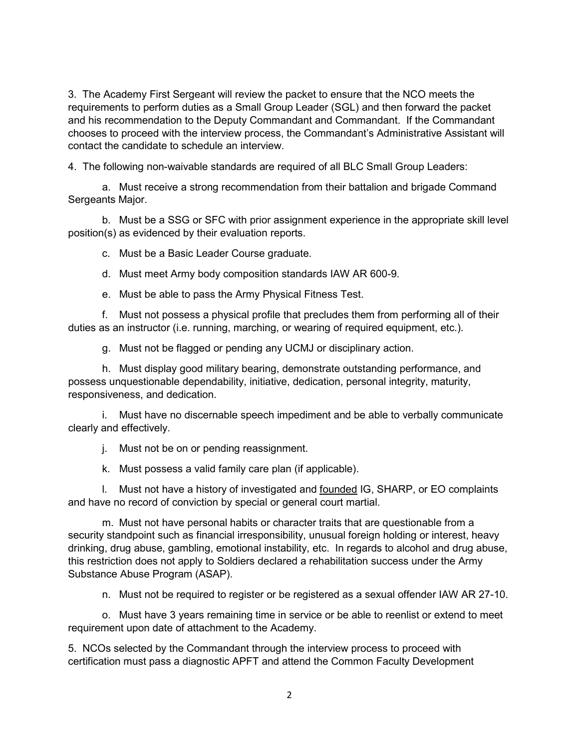3. The Academy First Sergeant will review the packet to ensure that the NCO meets the requirements to perform duties as a Small Group Leader (SGL) and then forward the packet and his recommendation to the Deputy Commandant and Commandant. If the Commandant chooses to proceed with the interview process, the Commandant's Administrative Assistant will contact the candidate to schedule an interview.

4. The following non-waivable standards are required of all BLC Small Group Leaders:

a. Must receive a strong recommendation from their battalion and brigade Command Sergeants Major.

b. Must be a SSG or SFC with prior assignment experience in the appropriate skill level position(s) as evidenced by their evaluation reports.

c. Must be a Basic Leader Course graduate.

d. Must meet Army body composition standards IAW AR 600-9.

e. Must be able to pass the Army Physical Fitness Test.

f. Must not possess a physical profile that precludes them from performing all of their duties as an instructor (i.e. running, marching, or wearing of required equipment, etc.).

g. Must not be flagged or pending any UCMJ or disciplinary action.

h. Must display good military bearing, demonstrate outstanding performance, and possess unquestionable dependability, initiative, dedication, personal integrity, maturity, responsiveness, and dedication.

i. Must have no discernable speech impediment and be able to verbally communicate clearly and effectively.

j. Must not be on or pending reassignment.

k. Must possess a valid family care plan (if applicable).

l. Must not have a history of investigated and founded IG, SHARP, or EO complaints and have no record of conviction by special or general court martial.

m. Must not have personal habits or character traits that are questionable from a security standpoint such as financial irresponsibility, unusual foreign holding or interest, heavy drinking, drug abuse, gambling, emotional instability, etc. In regards to alcohol and drug abuse, this restriction does not apply to Soldiers declared a rehabilitation success under the Army Substance Abuse Program (ASAP).

n. Must not be required to register or be registered as a sexual offender IAW AR 27-10.

o. Must have 3 years remaining time in service or be able to reenlist or extend to meet requirement upon date of attachment to the Academy.

5. NCOs selected by the Commandant through the interview process to proceed with certification must pass a diagnostic APFT and attend the Common Faculty Development